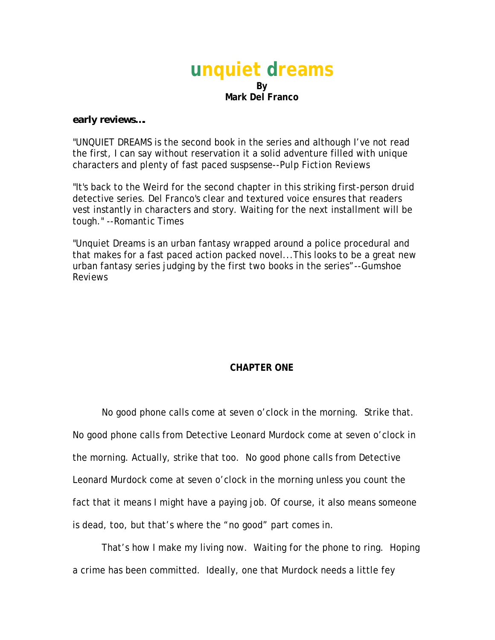# **unquiet dreams**

**By Mark Del Franco** 

#### *early reviews….*

"UNQUIET DREAMS is the second book in the series and although I've not read the first, I can say without reservation it a solid adventure filled with unique characters and plenty of fast paced suspsense--*Pulp Fiction Reviews* 

"It's back to the Weird for the second chapter in this striking first-person druid detective series. Del Franco's clear and textured voice ensures that readers vest instantly in characters and story. Waiting for the next installment will be tough." --*Romantic Times* 

"Unquiet Dreams is an urban fantasy wrapped around a police procedural and that makes for a fast paced action packed novel...This looks to be a great new urban fantasy series judging by the first two books in the series"--*Gumshoe Reviews* 

#### **CHAPTER ONE**

No good phone calls come at seven o'clock in the morning. Strike that. No good phone calls from Detective Leonard Murdock come at seven o'clock in the morning. Actually, strike that too. No good phone calls from Detective Leonard Murdock come at seven o'clock in the morning unless you count the fact that it means I might have a paying job. Of course, it also means someone is dead, too, but that's where the "no good" part comes in.

That's how I make my living now. Waiting for the phone to ring. Hoping a crime has been committed. Ideally, one that Murdock needs a little fey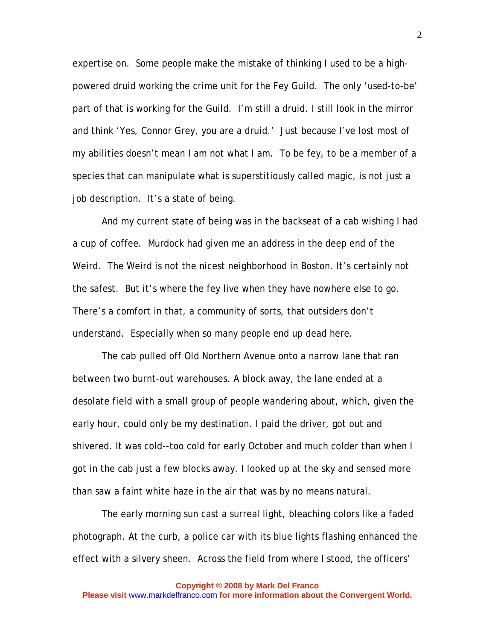expertise on. Some people make the mistake of thinking I used to be a highpowered druid working the crime unit for the Fey Guild. The only 'used-to-be' part of that is working for the Guild. I'm still a druid. I still look in the mirror and think 'Yes, Connor Grey, you are a druid.' Just because I've lost most of my abilities doesn't mean I am not what I am. To be fey, to be a member of a species that can manipulate what is superstitiously called magic, is not just a job description. It's a state of being.

And my current state of being was in the backseat of a cab wishing I had a cup of coffee. Murdock had given me an address in the deep end of the Weird. The Weird is not the nicest neighborhood in Boston. It's certainly not the safest. But it's where the fey live when they have nowhere else to go. There's a comfort in that, a community of sorts, that outsiders don't understand. Especially when so many people end up dead here.

The cab pulled off Old Northern Avenue onto a narrow lane that ran between two burnt-out warehouses. A block away, the lane ended at a desolate field with a small group of people wandering about, which, given the early hour, could only be my destination. I paid the driver, got out and shivered. It was cold--too cold for early October and much colder than when I got in the cab just a few blocks away. I looked up at the sky and sensed more than saw a faint white haze in the air that was by no means natural.

The early morning sun cast a surreal light, bleaching colors like a faded photograph. At the curb, a police car with its blue lights flashing enhanced the effect with a silvery sheen. Across the field from where I stood, the officers'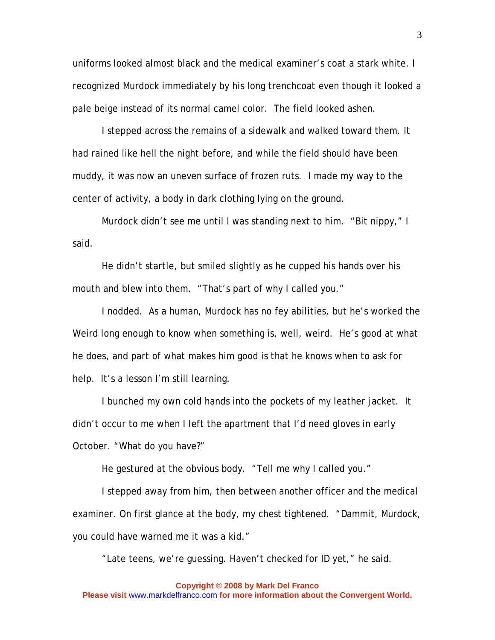uniforms looked almost black and the medical examiner's coat a stark white. I recognized Murdock immediately by his long trenchcoat even though it looked a pale beige instead of its normal camel color. The field looked ashen.

I stepped across the remains of a sidewalk and walked toward them. It had rained like hell the night before, and while the field should have been muddy, it was now an uneven surface of frozen ruts. I made my way to the center of activity, a body in dark clothing lying on the ground.

Murdock didn't see me until I was standing next to him. "Bit nippy," I said.

He didn't startle, but smiled slightly as he cupped his hands over his mouth and blew into them. "That's part of why I called you."

I nodded. As a human, Murdock has no fey abilities, but he's worked the Weird long enough to know when something is, well, weird. He's good at what he does, and part of what makes him good is that he knows when to ask for help. It's a lesson I'm still learning.

I bunched my own cold hands into the pockets of my leather jacket. It didn't occur to me when I left the apartment that I'd need gloves in early October. "What do you have?"

He gestured at the obvious body. "Tell me why I called you."

I stepped away from him, then between another officer and the medical examiner. On first glance at the body, my chest tightened. "Dammit, Murdock, you could have warned me it was a kid."

"Late teens, we're guessing. Haven't checked for ID yet," he said.

**Please visit** www.markdelfranco.com **for more information about the Convergent World.**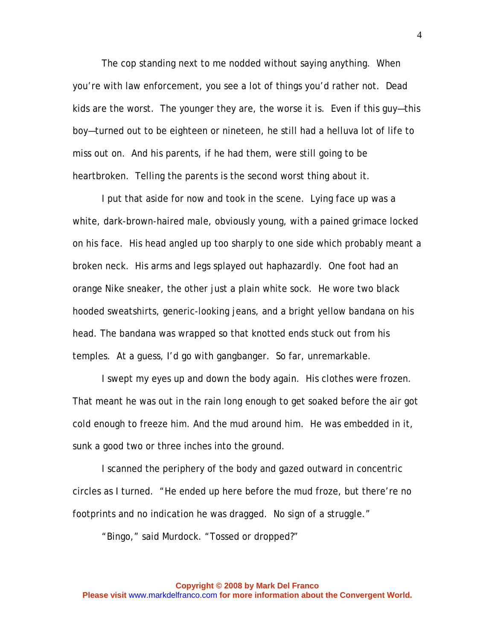The cop standing next to me nodded without saying anything. When you're with law enforcement, you see a lot of things you'd rather not. Dead kids are the worst. The younger they are, the worse it is. Even if this guy—this boy—turned out to be eighteen or nineteen, he still had a helluva lot of life to miss out on. And his parents, if he had them, were still going to be heartbroken. Telling the parents is the second worst thing about it.

I put that aside for now and took in the scene. Lying face up was a white, dark-brown-haired male, obviously young, with a pained grimace locked on his face. His head angled up too sharply to one side which probably meant a broken neck. His arms and legs splayed out haphazardly. One foot had an orange Nike sneaker, the other just a plain white sock. He wore two black hooded sweatshirts, generic-looking jeans, and a bright yellow bandana on his head. The bandana was wrapped so that knotted ends stuck out from his temples. At a guess, I'd go with gangbanger. So far, unremarkable.

I swept my eyes up and down the body again. His clothes were frozen. That meant he was out in the rain long enough to get soaked before the air got cold enough to freeze him. And the mud around him. He was embedded in it, sunk a good two or three inches into the ground.

I scanned the periphery of the body and gazed outward in concentric circles as I turned. "He ended up here before the mud froze, but there're no footprints and no indication he was dragged. No sign of a struggle."

"Bingo," said Murdock. "Tossed or dropped?"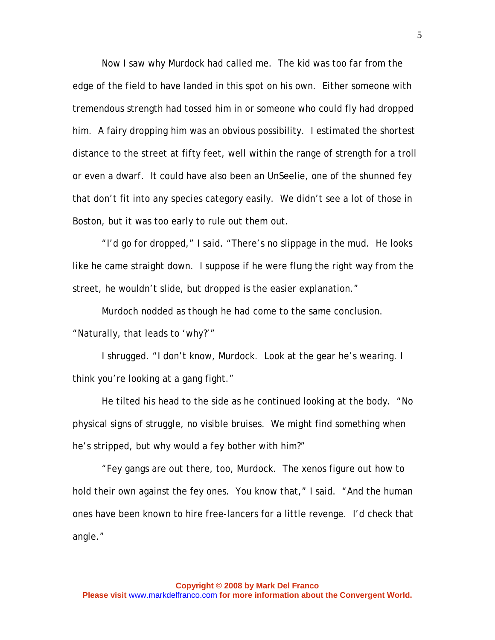Now I saw why Murdock had called me. The kid was too far from the edge of the field to have landed in this spot on his own. Either someone with tremendous strength had tossed him in or someone who could fly had dropped him. A fairy dropping him was an obvious possibility. I estimated the shortest distance to the street at fifty feet, well within the range of strength for a troll or even a dwarf. It could have also been an UnSeelie, one of the shunned fey that don't fit into any species category easily. We didn't see a lot of those in Boston, but it was too early to rule out them out.

"I'd go for dropped," I said. "There's no slippage in the mud. He looks like he came straight down. I suppose if he were flung the right way from the street, he wouldn't slide, but dropped is the easier explanation."

Murdoch nodded as though he had come to the same conclusion. "Naturally, that leads to 'why?'"

I shrugged. "I don't know, Murdock. Look at the gear he's wearing. I think you're looking at a gang fight."

He tilted his head to the side as he continued looking at the body. "No physical signs of struggle, no visible bruises. We might find something when he's stripped, but why would a fey bother with him?"

"Fey gangs are out there, too, Murdock. The xenos figure out how to hold their own against the fey ones. You know that," I said. "And the human ones have been known to hire free-lancers for a little revenge. I'd check that angle."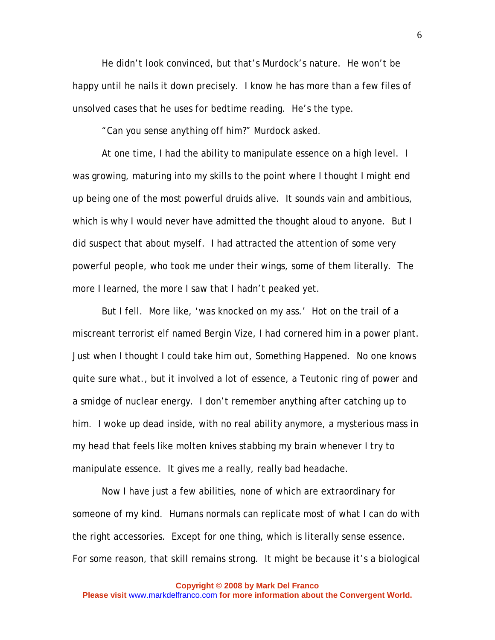He didn't look convinced, but that's Murdock's nature. He won't be happy until he nails it down precisely. I know he has more than a few files of unsolved cases that he uses for bedtime reading. He's the type.

"Can you sense anything off him?" Murdock asked.

At one time, I had the ability to manipulate essence on a high level. I was growing, maturing into my skills to the point where I thought I might end up being one of the most powerful druids alive. It sounds vain and ambitious, which is why I would never have admitted the thought aloud to anyone. But I did suspect that about myself. I had attracted the attention of some very powerful people, who took me under their wings, some of them literally. The more I learned, the more I saw that I hadn't peaked yet.

But I fell. More like, 'was knocked on my ass.' Hot on the trail of a miscreant terrorist elf named Bergin Vize, I had cornered him in a power plant. Just when I thought I could take him out, Something Happened. No one knows quite sure what., but it involved a lot of essence, a Teutonic ring of power and a smidge of nuclear energy. I don't remember anything after catching up to him. I woke up dead inside, with no real ability anymore, a mysterious mass in my head that feels like molten knives stabbing my brain whenever I try to manipulate essence. It gives me a really, really bad headache.

Now I have just a few abilities, none of which are extraordinary for someone of my kind. Humans normals can replicate most of what I can do with the right accessories. Except for one thing, which is literally sense essence. For some reason, that skill remains strong. It might be because it's a biological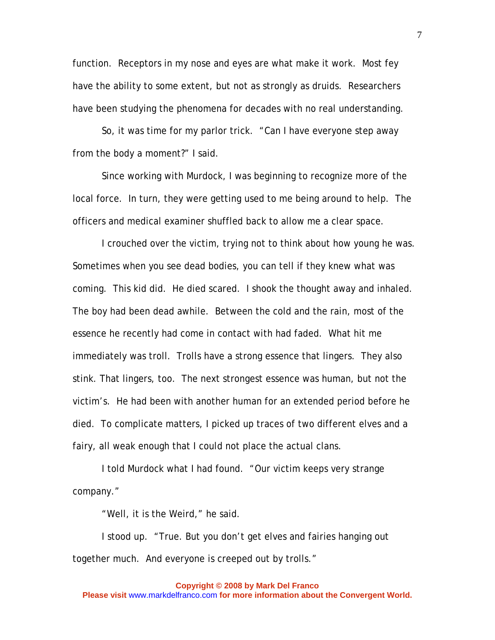function. Receptors in my nose and eyes are what make it work. Most fey have the ability to some extent, but not as strongly as druids. Researchers have been studying the phenomena for decades with no real understanding.

So, it was time for my parlor trick. "Can I have everyone step away from the body a moment?" I said.

Since working with Murdock, I was beginning to recognize more of the local force. In turn, they were getting used to me being around to help. The officers and medical examiner shuffled back to allow me a clear space.

I crouched over the victim, trying not to think about how young he was. Sometimes when you see dead bodies, you can tell if they knew what was coming. This kid did. He died scared. I shook the thought away and inhaled. The boy had been dead awhile. Between the cold and the rain, most of the essence he recently had come in contact with had faded. What hit me immediately was troll. Trolls have a strong essence that lingers. They also stink. That lingers, too. The next strongest essence was human, but not the victim's. He had been with another human for an extended period before he died. To complicate matters, I picked up traces of two different elves and a fairy, all weak enough that I could not place the actual clans.

I told Murdock what I had found. "Our victim keeps very strange company."

"Well, it is the Weird," he said.

I stood up. "True. But you don't get elves and fairies hanging out together much. And everyone is creeped out by trolls."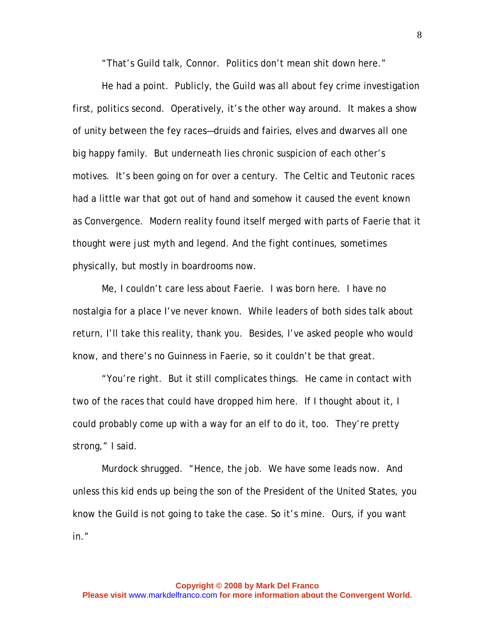"That's Guild talk, Connor. Politics don't mean shit down here."

He had a point. Publicly, the Guild was all about fey crime investigation first, politics second. Operatively, it's the other way around. It makes a show of unity between the fey races—druids and fairies, elves and dwarves all one big happy family. But underneath lies chronic suspicion of each other's motives. It's been going on for over a century. The Celtic and Teutonic races had a little war that got out of hand and somehow it caused the event known as Convergence. Modern reality found itself merged with parts of Faerie that it thought were just myth and legend. And the fight continues, sometimes physically, but mostly in boardrooms now.

Me, I couldn't care less about Faerie. I was born here. I have no nostalgia for a place I've never known. While leaders of both sides talk about return, I'll take this reality, thank you. Besides, I've asked people who would know, and there's no Guinness in Faerie, so it couldn't be that great.

"You're right. But it still complicates things. He came in contact with two of the races that could have dropped him here. If I thought about it, I could probably come up with a way for an elf to do it, too. They're pretty strong," I said.

Murdock shrugged. "Hence, the job. We have some leads now. And unless this kid ends up being the son of the President of the United States, you know the Guild is not going to take the case. So it's mine. Ours, if you want in."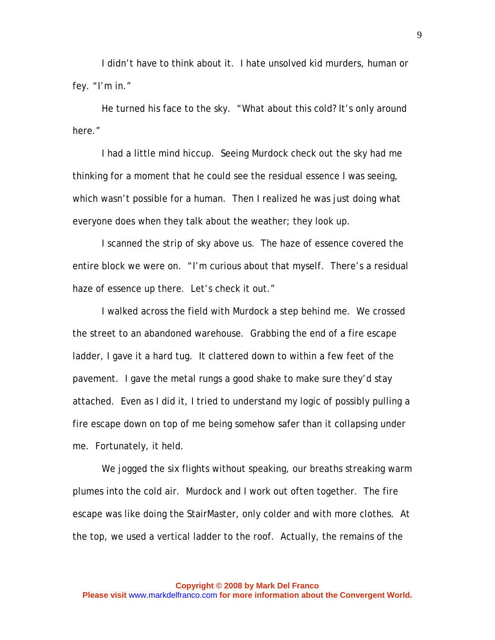I didn't have to think about it. I hate unsolved kid murders, human or fey. "I'm in."

He turned his face to the sky. "What about this cold? It's only around here."

I had a little mind hiccup. Seeing Murdock check out the sky had me thinking for a moment that he could see the residual essence I was seeing, which wasn't possible for a human. Then I realized he was just doing what everyone does when they talk about the weather; they look up.

I scanned the strip of sky above us. The haze of essence covered the entire block we were on. "I'm curious about that myself. There's a residual haze of essence up there. Let's check it out."

I walked across the field with Murdock a step behind me. We crossed the street to an abandoned warehouse. Grabbing the end of a fire escape ladder, I gave it a hard tug. It clattered down to within a few feet of the pavement. I gave the metal rungs a good shake to make sure they'd stay attached. Even as I did it, I tried to understand my logic of possibly pulling a fire escape down on top of me being somehow safer than it collapsing under me. Fortunately, it held.

We jogged the six flights without speaking, our breaths streaking warm plumes into the cold air. Murdock and I work out often together. The fire escape was like doing the StairMaster, only colder and with more clothes. At the top, we used a vertical ladder to the roof. Actually, the remains of the

9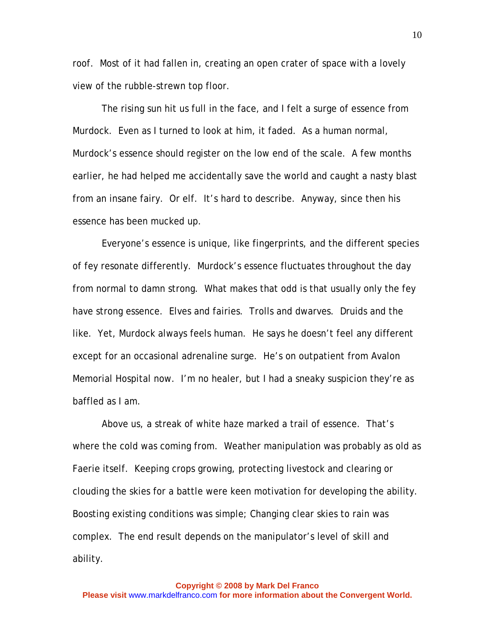roof. Most of it had fallen in, creating an open crater of space with a lovely view of the rubble-strewn top floor.

The rising sun hit us full in the face, and I felt a surge of essence from Murdock. Even as I turned to look at him, it faded. As a human normal, Murdock's essence should register on the low end of the scale. A few months earlier, he had helped me accidentally save the world and caught a nasty blast from an insane fairy. Or elf. It's hard to describe. Anyway, since then his essence has been mucked up.

Everyone's essence is unique, like fingerprints, and the different species of fey resonate differently. Murdock's essence fluctuates throughout the day from normal to damn strong. What makes that odd is that usually only the fey have strong essence. Elves and fairies. Trolls and dwarves. Druids and the like. Yet, Murdock always feels human. He says he doesn't feel any different except for an occasional adrenaline surge. He's on outpatient from Avalon Memorial Hospital now. I'm no healer, but I had a sneaky suspicion they're as baffled as I am.

Above us, a streak of white haze marked a trail of essence. That's where the cold was coming from. Weather manipulation was probably as old as Faerie itself. Keeping crops growing, protecting livestock and clearing or clouding the skies for a battle were keen motivation for developing the ability. Boosting existing conditions was simple; Changing clear skies to rain was complex. The end result depends on the manipulator's level of skill and ability.

10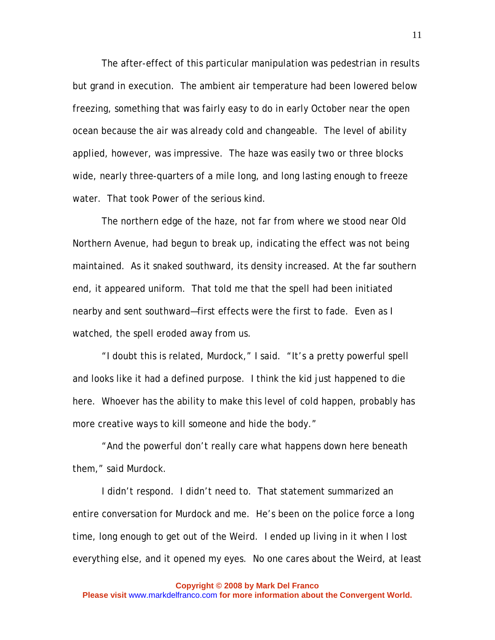The after-effect of this particular manipulation was pedestrian in results but grand in execution. The ambient air temperature had been lowered below freezing, something that was fairly easy to do in early October near the open ocean because the air was already cold and changeable. The level of ability applied, however, was impressive. The haze was easily two or three blocks wide, nearly three-quarters of a mile long, and long lasting enough to freeze water. That took Power of the serious kind.

The northern edge of the haze, not far from where we stood near Old Northern Avenue, had begun to break up, indicating the effect was not being maintained. As it snaked southward, its density increased. At the far southern end, it appeared uniform. That told me that the spell had been initiated nearby and sent southward—first effects were the first to fade. Even as I watched, the spell eroded away from us.

"I doubt this is related, Murdock," I said. "It's a pretty powerful spell and looks like it had a defined purpose. I think the kid just happened to die here. Whoever has the ability to make this level of cold happen, probably has more creative ways to kill someone and hide the body."

"And the powerful don't really care what happens down here beneath them," said Murdock.

I didn't respond. I didn't need to. That statement summarized an entire conversation for Murdock and me. He's been on the police force a long time, long enough to get out of the Weird. I ended up living in it when I lost everything else, and it opened my eyes. No one cares about the Weird, at least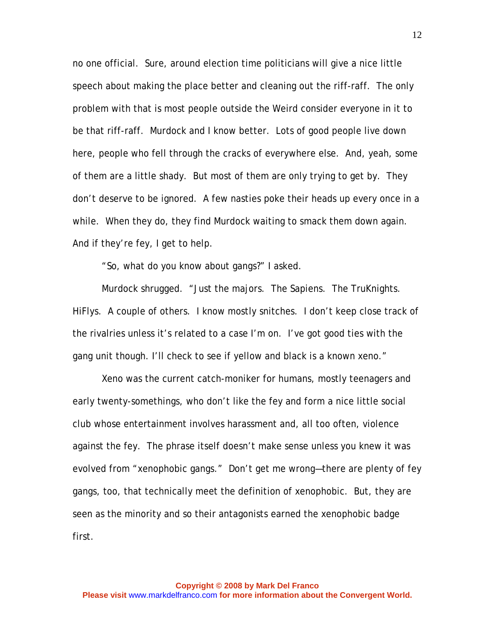no one official. Sure, around election time politicians will give a nice little speech about making the place better and cleaning out the riff-raff. The only problem with that is most people outside the Weird consider everyone in it to be that riff-raff. Murdock and I know better. Lots of good people live down here, people who fell through the cracks of everywhere else. And, yeah, some of them are a little shady. But most of them are only trying to get by. They don't deserve to be ignored. A few nasties poke their heads up every once in a while. When they do, they find Murdock waiting to smack them down again. And if they're fey, I get to help.

"So, what do you know about gangs?" I asked.

Murdock shrugged. "Just the majors. The Sapiens. The TruKnights. HiFlys. A couple of others. I know mostly snitches. I don't keep close track of the rivalries unless it's related to a case I'm on. I've got good ties with the gang unit though. I'll check to see if yellow and black is a known xeno."

Xeno was the current catch-moniker for humans, mostly teenagers and early twenty-somethings, who don't like the fey and form a nice little social club whose entertainment involves harassment and, all too often, violence against the fey. The phrase itself doesn't make sense unless you knew it was evolved from "xenophobic gangs." Don't get me wrong—there are plenty of fey gangs, too, that technically meet the definition of xenophobic. But, they are seen as the minority and so their antagonists earned the xenophobic badge first.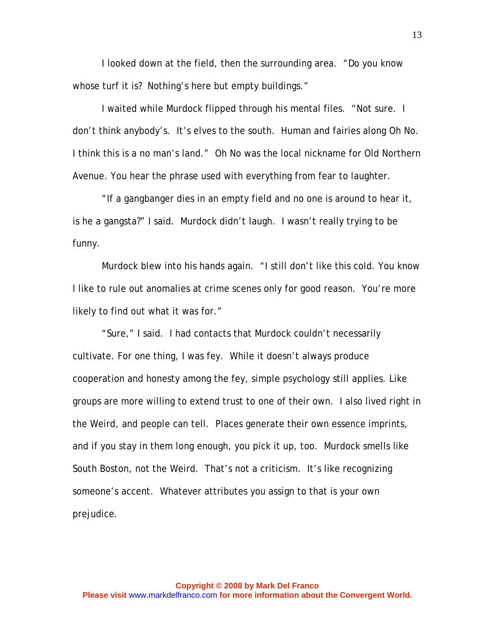I looked down at the field, then the surrounding area. "Do you know whose turf it is? Nothing's here but empty buildings."

I waited while Murdock flipped through his mental files. "Not sure. I don't think anybody's. It's elves to the south. Human and fairies along Oh No. I think this is a no man's land." Oh No was the local nickname for Old Northern Avenue. You hear the phrase used with everything from fear to laughter.

"If a gangbanger dies in an empty field and no one is around to hear it, is he a gangsta?" I said. Murdock didn't laugh. I wasn't really trying to be funny.

Murdock blew into his hands again. "I still don't like this cold. You know I like to rule out anomalies at crime scenes only for good reason. You're more likely to find out what it was for."

"Sure," I said. I had contacts that Murdock couldn't necessarily cultivate. For one thing, I was fey. While it doesn't always produce cooperation and honesty among the fey, simple psychology still applies. Like groups are more willing to extend trust to one of their own. I also lived right in the Weird, and people can tell. Places generate their own essence imprints, and if you stay in them long enough, you pick it up, too. Murdock smells like South Boston, not the Weird. That's not a criticism. It's like recognizing someone's accent. Whatever attributes you assign to that is your own prejudice.

13